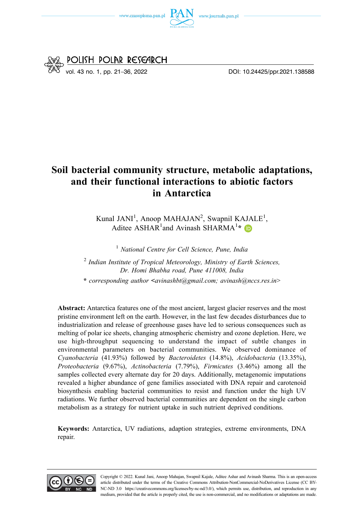



# **Soil bacterial community structure, metabolic adaptations, and their functional interactions to abiotic factors in Antarctica**

Kunal JANI<sup>1</sup>, Anoop MAHAJAN<sup>2</sup>, Swapnil KAJALE<sup>1</sup>, Aditee ASHAR<sup>1</sup> and Avinash SHARMA<sup>1</sup>\*

<sup>1</sup>*National Centre for Cell Science, Pune, India* 

<sup>2</sup>*Indian Institute of Tropical Meteorology, Ministry of Earth Sciences, Dr. Homi Bhabha road, Pune 411008, India* 

**\*** *corresponding author* **<***[avinashbt@gmail.com;](mailto:avinashbt@gmail.com) [avinash@nccs.res.in](mailto:avinash@nccs.res.in)*>

**Abstract:** Antarctica features one of the most ancient, largest glacier reserves and the most pristine environment left on the earth. However, in the last few decades disturbances due to industrialization and release of greenhouse gases have led to serious consequences such as melting of polar ice sheets, changing atmospheric chemistry and ozone depletion. Here, we use high-throughput sequencing to understand the impact of subtle changes in environmental parameters on bacterial communities. We observed dominance of *Cyanobacteria* (41.93%) followed by *Bacteroidetes* (14.8%), *Acidobacteria* (13.35%), *Proteobacteria* (9.67%), *Actinobacteria* (7.79%), *Firmicutes* (3.46%) among all the samples collected every alternate day for 20 days. Additionally, metagenomic imputations revealed a higher abundance of gene families associated with DNA repair and carotenoid biosynthesis enabling bacterial communities to resist and function under the high UV radiations. We further observed bacterial communities are dependent on the single carbon metabolism as a strategy for nutrient uptake in such nutrient deprived conditions.

**Keywords:** Antarctica, UV radiations, adaption strategies, extreme environments, DNA repair.

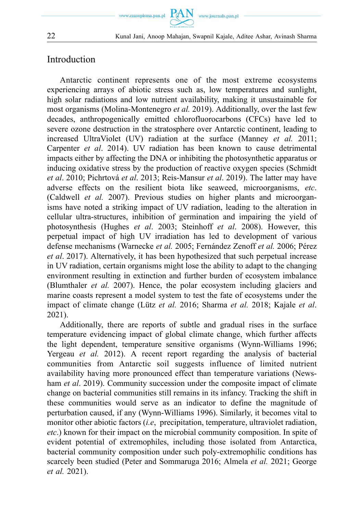

## Introduction

Antarctic continent represents one of the most extreme ecosystems experiencing arrays of abiotic stress such as, low temperatures and sunlight, high solar radiations and low nutrient availability, making it unsustainable for most organisms (Molina-Montenegro *et al.* 2019). Additionally, over the last few decades, anthropogenically emitted chlorofluorocarbons (CFCs) have led to severe ozone destruction in the stratosphere over Antarctic continent, leading to increased UltraViolet (UV) radiation at the surface (Manney *et al.* 2011; Carpenter *et al*. 2014). UV radiation has been known to cause detrimental impacts either by affecting the DNA or inhibiting the photosynthetic apparatus or inducing oxidative stress by the production of reactive oxygen species (Schmidt *et al*. 2010; Pichrtová *et al*. 2013; Reis-Mansur *et al*. 2019). The latter may have adverse effects on the resilient biota like seaweed, microorganisms, *etc*. (Caldwell *et al.* 2007). Previous studies on higher plants and microorganisms have noted a striking impact of UV radiation, leading to the alteration in cellular ultra-structures, inhibition of germination and impairing the yield of photosynthesis (Hughes *et al*. 2003; Steinhoff *et al*. 2008). However, this perpetual impact of high UV irradiation has led to development of various defense mechanisms (Warnecke *et al.* 2005; Fernández Zenoff *et al.* 2006; Pérez *et al*. 2017). Alternatively, it has been hypothesized that such perpetual increase in UV radiation, certain organisms might lose the ability to adapt to the changing environment resulting in extinction and further burden of ecosystem imbalance (Blumthaler *et al.* 2007). Hence, the polar ecosystem including glaciers and marine coasts represent a model system to test the fate of ecosystems under the impact of climate change (Lütz *et al.* 2016; Sharma *et al.* 2018; Kajale *et al*. 2021).

Additionally, there are reports of subtle and gradual rises in the surface temperature evidencing impact of global climate change, which further affects the light dependent, temperature sensitive organisms (Wynn-Williams 1996; Yergeau *et al.* 2012). A recent report regarding the analysis of bacterial communities from Antarctic soil suggests influence of limited nutrient availability having more pronounced effect than temperature variations (Newsham *et al*. 2019). Community succession under the composite impact of climate change on bacterial communities still remains in its infancy. Tracking the shift in these communities would serve as an indicator to define the magnitude of perturbation caused, if any (Wynn-Williams 1996). Similarly, it becomes vital to monitor other abiotic factors (*i.e*, precipitation, temperature, ultraviolet radiation, *etc*.) known for their impact on the microbial community composition. In spite of evident potential of extremophiles, including those isolated from Antarctica, bacterial community composition under such poly-extremophilic conditions has scarcely been studied (Peter and Sommaruga 2016; Almela *et al.* 2021; George *et al.* 2021).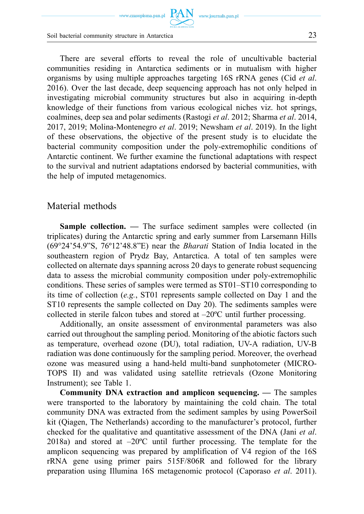www.czasopisma.pan.pl  $\hbox{ PAN }\,$  www.journals.pan.pl

Soil bacterial community structure in Antarctica 23

There are several efforts to reveal the role of uncultivable bacterial communities residing in Antarctica sediments or in mutualism with higher organisms by using multiple approaches targeting 16S rRNA genes (Cid *et al*. 2016). Over the last decade, deep sequencing approach has not only helped in investigating microbial community structures but also in acquiring in-depth knowledge of their functions from various ecological niches viz. hot springs, coalmines, deep sea and polar sediments (Rastogi *et al*. 2012; Sharma *et al*. 2014, 2017, 2019; Molina-Montenegro *et al*. 2019; Newsham *et al*. 2019). In the light of these observations, the objective of the present study is to elucidate the bacterial community composition under the poly-extremophilic conditions of Antarctic continent. We further examine the functional adaptations with respect to the survival and nutrient adaptations endorsed by bacterial communities, with the help of imputed metagenomics.

### Material methods

**Sample collection.** — The surface sediment samples were collected (in triplicates) during the Antarctic spring and early summer from Larsemann Hills (69°24'54.9"S, 76º12'48.8"E) near the *Bharati* Station of India located in the southeastern region of Prydz Bay, Antarctica. A total of ten samples were collected on alternate days spanning across 20 days to generate robust sequencing data to assess the microbial community composition under poly-extremophilic conditions. These series of samples were termed as ST01–ST10 corresponding to its time of collection (*e.g.*, ST01 represents sample collected on Day 1 and the ST10 represents the sample collected on Day 20). The sediments samples were collected in sterile falcon tubes and stored at –20ºC until further processing.

Additionally, an onsite assessment of environmental parameters was also carried out throughout the sampling period. Monitoring of the abiotic factors such as temperature, overhead ozone (DU), total radiation, UV-A radiation, UV-B radiation was done continuously for the sampling period. Moreover, the overhead ozone was measured using a hand-held multi-band sunphotometer (MICRO-TOPS II) and was validated using satellite retrievals (Ozone Monitoring Instrument); see Table 1.

**Community DNA extraction and amplicon sequencing. —** The samples were transported to the laboratory by maintaining the cold chain. The total community DNA was extracted from the sediment samples by using PowerSoil kit (Qiagen, The Netherlands) according to the manufacturer's protocol, further checked for the qualitative and quantitative assessment of the DNA (Jani *et al*. 2018a) and stored at  $-20^{\circ}$ C until further processing. The template for the amplicon sequencing was prepared by amplification of V4 region of the 16S rRNA gene using primer pairs 515F/806R and followed for the library preparation using Illumina 16S metagenomic protocol (Caporaso *et al*. 2011).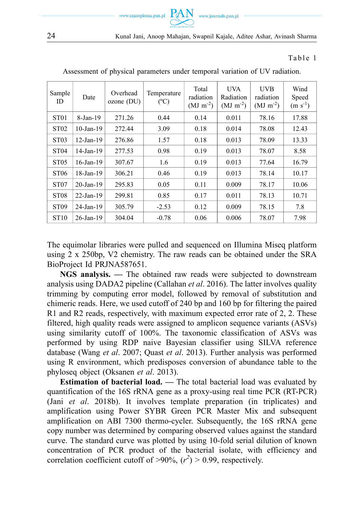

#### Table 1

| Sample<br>ID     | Date            | Overhead<br>$ozone$ (DU) | Temperature<br>$(^{\circ}C)$ | Total<br>radiation<br>$(MJ \text{ m}^{-2})$ | <b>UVA</b><br>Radiation<br>$(MJ \text{ m}^{-2})$ | <b>UVB</b><br>radiation<br>$(MJ \text{ m}^{-2})$ | Wind<br>Speed<br>$(m s-1)$ |
|------------------|-----------------|--------------------------|------------------------------|---------------------------------------------|--------------------------------------------------|--------------------------------------------------|----------------------------|
| ST <sub>01</sub> | 8-Jan-19        | 271.26                   | 0.44                         | 0.14                                        | 0.011                                            | 78.16                                            | 17.88                      |
| ST <sub>02</sub> | $10$ -Jan- $19$ | 272.44                   | 3.09                         | 0.18                                        | 0.014                                            | 78.08                                            | 12.43                      |
| ST <sub>03</sub> | $12-Jan-19$     | 276.86                   | 1.57                         | 0.18                                        | 0.013                                            | 78.09                                            | 13.33                      |
| ST <sub>04</sub> | $14$ -Jan-19    | 277.53                   | 0.98                         | 0.19                                        | 0.013                                            | 78.07                                            | 8.58                       |
| ST <sub>05</sub> | $16$ -Jan-19    | 307.67                   | 1.6                          | 0.19                                        | 0.013                                            | 77.64                                            | 16.79                      |
| ST <sub>06</sub> | $18$ -Jan- $19$ | 306.21                   | 0.46                         | 0.19                                        | 0.013                                            | 78.14                                            | 10.17                      |
| ST <sub>07</sub> | $20$ -Jan-19    | 295.83                   | 0.05                         | 0.11                                        | 0.009                                            | 78.17                                            | 10.06                      |
| ST <sub>08</sub> | $22$ -Jan-19    | 299.81                   | 0.85                         | 0.17                                        | 0.011                                            | 78.13                                            | 10.71                      |
| ST <sub>09</sub> | $24$ -Jan-19    | 305.79                   | $-2.53$                      | 0.12                                        | 0.009                                            | 78.15                                            | 7.8                        |
| ST <sub>10</sub> | $26$ -Jan-19    | 304.04                   | $-0.78$                      | 0.06                                        | 0.006                                            | 78.07                                            | 7.98                       |

Assessment of physical parameters under temporal variation of UV radiation.

The equimolar libraries were pulled and sequenced on Illumina Miseq platform using 2 x 250bp, V2 chemistry. The raw reads can be obtained under the SRA BioProject Id PRJNA587651.

**NGS analysis. —** The obtained raw reads were subjected to downstream analysis using DADA2 pipeline (Callahan *et al*. 2016). The latter involves quality trimming by computing error model, followed by removal of substitution and chimeric reads. Here, we used cutoff of 240 bp and 160 bp for filtering the paired R1 and R2 reads, respectively, with maximum expected error rate of 2, 2. These filtered, high quality reads were assigned to amplicon sequence variants (ASVs) using similarity cutoff of 100%. The taxonomic classification of ASVs was performed by using RDP naive Bayesian classifier using SILVA reference database (Wang *et al*. 2007; Quast *et al*. 2013). Further analysis was performed using R environment, which predisposes conversion of abundance table to the phyloseq object (Oksanen *et al*. 2013).

**Estimation of bacterial load. —** The total bacterial load was evaluated by quantification of the 16S rRNA gene as a proxy-using real time PCR (RT-PCR) (Jani *et al*. 2018b). It involves template preparation (in triplicates) and amplification using Power SYBR Green PCR Master Mix and subsequent amplification on ABI 7300 thermo-cycler. Subsequently, the 16S rRNA gene copy number was determined by comparing observed values against the standard curve. The standard curve was plotted by using 10-fold serial dilution of known concentration of PCR product of the bacterial isolate, with efficiency and correlation coefficient cutoff of  $>90\%$ ,  $(r^2) > 0.99$ , respectively.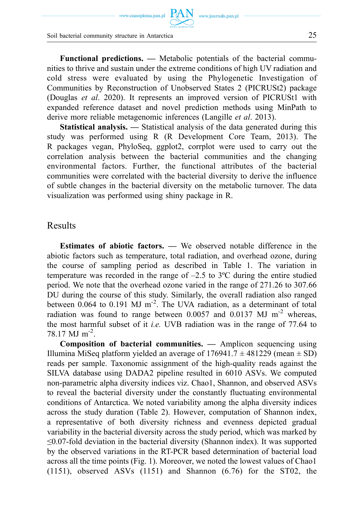www.czasopisma.pan.pl  $\hbox{ PAN }\,$  www.journals.pan.pl

Soil bacterial community structure in Antarctica 25

**Functional predictions. —** Metabolic potentials of the bacterial communities to thrive and sustain under the extreme conditions of high UV radiation and cold stress were evaluated by using the Phylogenetic Investigation of Communities by Reconstruction of Unobserved States 2 (PICRUSt2) package (Douglas *et al*. 2020). It represents an improved version of PICRUSt1 with expanded reference dataset and novel prediction methods using MinPath to derive more reliable metagenomic inferences (Langille *et al*. 2013).

**Statistical analysis. —** Statistical analysis of the data generated during this study was performed using R (R Development Core Team, 2013). The R packages vegan, PhyloSeq, ggplot2, corrplot were used to carry out the correlation analysis between the bacterial communities and the changing environmental factors. Further, the functional attributes of the bacterial communities were correlated with the bacterial diversity to derive the influence of subtle changes in the bacterial diversity on the metabolic turnover. The data visualization was performed using shiny package in R.

## Results

**Estimates of abiotic factors. —** We observed notable difference in the abiotic factors such as temperature, total radiation, and overhead ozone, during the course of sampling period as described in Table 1. The variation in temperature was recorded in the range of  $-2.5$  to  $3^{\circ}$ C during the entire studied period. We note that the overhead ozone varied in the range of 271.26 to 307.66 DU during the course of this study. Similarly, the overall radiation also ranged between  $0.064$  to  $0.191$  MJ m<sup>-2</sup>. The UVA radiation, as a determinant of total radiation was found to range between  $0.0057$  and  $0.0137$  MJ m<sup>-2</sup> whereas, the most harmful subset of it *i.e.* UVB radiation was in the range of 77.64 to 78.17 MJ m-2.

**Composition of bacterial communities. —** Amplicon sequencing using Illumina MiSeq platform yielded an average of 176941.7 *±* 481229 (mean *±* SD) reads per sample. Taxonomic assignment of the high-quality reads against the SILVA database using DADA2 pipeline resulted in 6010 ASVs. We computed non-parametric alpha diversity indices viz. Chao1, Shannon, and observed ASVs to reveal the bacterial diversity under the constantly fluctuating environmental conditions of Antarctica. We noted variability among the alpha diversity indices across the study duration (Table 2). However, computation of Shannon index, a representative of both diversity richness and evenness depicted gradual variability in the bacterial diversity across the study period, which was marked by ≤0.07-fold deviation in the bacterial diversity (Shannon index). It was supported by the observed variations in the RT-PCR based determination of bacterial load across all the time points (Fig. 1). Moreover, we noted the lowest values of Chao1 (1151), observed ASVs (1151) and Shannon (6.76) for the ST02, the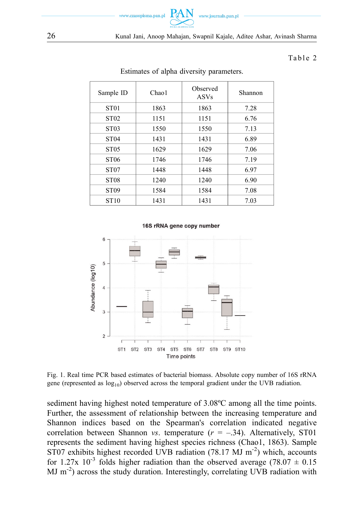

26 Kunal Jani, Anoop Mahajan, Swapnil Kajale, Aditee Ashar, Avinash Sharma

#### Table 2

| Sample ID        | Chao <sub>1</sub> | Observed<br><b>ASVs</b> | Shannon |
|------------------|-------------------|-------------------------|---------|
| ST <sub>01</sub> | 1863              | 1863                    | 7.28    |
| ST <sub>02</sub> | 1151              | 1151                    | 6.76    |
| ST <sub>03</sub> | 1550              | 1550                    | 7.13    |
| ST <sub>04</sub> | 1431              | 1431                    | 6.89    |
| ST <sub>05</sub> | 1629              | 1629                    | 7.06    |
| ST <sub>06</sub> | 1746              | 1746                    | 7.19    |
| ST <sub>07</sub> | 1448              | 1448                    | 6.97    |
| ST <sub>08</sub> | 1240              | 1240                    | 6.90    |
| ST <sub>09</sub> | 1584              | 1584                    | 7.08    |
| ST <sub>10</sub> | 1431              | 1431                    | 7.03    |

#### Estimates of alpha diversity parameters.





Fig. 1. Real time PCR based estimates of bacterial biomass. Absolute copy number of 16S rRNA gene (represented as  $log_{10}$ ) observed across the temporal gradient under the UVB radiation.

sediment having highest noted temperature of 3.08ºC among all the time points. Further, the assessment of relationship between the increasing temperature and Shannon indices based on the Spearman's correlation indicated negative correlation between Shannon *vs*. temperature  $(r = -.34)$ . Alternatively, ST01 represents the sediment having highest species richness (Chao1, 1863). Sample  $ST07$  exhibits highest recorded UVB radiation (78.17 MJ m<sup>-2</sup>) which, accounts for 1.27x  $10^{-3}$  folds higher radiation than the observed average (78.07  $\pm$  0.15 MJ  $\mathrm{m}^{-2}$ ) across the study duration. Interestingly, correlating UVB radiation with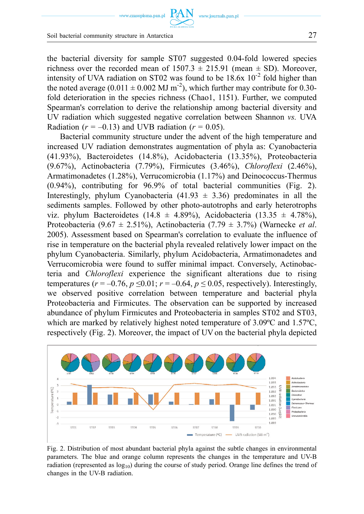the bacterial diversity for sample ST07 suggested 0.04-fold lowered species richness over the recorded mean of  $1507.3 \pm 215.91$  (mean  $\pm$  SD). Moreover, intensity of UVA radiation on ST02 was found to be  $18.6x \times 10^{-2}$  fold higher than the noted average (0.011  $\pm$  0.002 MJ m<sup>-2</sup>), which further may contribute for 0.30fold deterioration in the species richness (Chao1, 1151). Further, we computed Spearman's correlation to derive the relationship among bacterial diversity and UV radiation which suggested negative correlation between Shannon *vs.* UVA Radiation ( $r = -0.13$ ) and UVB radiation ( $r = 0.05$ ).

www.journals.pan.p

Bacterial community structure under the advent of the high temperature and increased UV radiation demonstrates augmentation of phyla as: Cyanobacteria (41.93%), Bacteroidetes (14.8%), Acidobacteria (13.35%), Proteobacteria (9.67%), Actinobacteria (7.79%), Firmicutes (3.46%), *Chloroflexi* (2.46%), Armatimonadetes (1.28%), Verrucomicrobia (1.17%) and Deinococcus-Thermus (0.94%), contributing for 96.9% of total bacterial communities (Fig. 2). Interestingly, phylum Cyanobacteria (41.93  $\pm$  3.36) predominates in all the sediments samples. Followed by other photo-autotrophs and early heterotrophs viz. phylum Bacteroidetes (14.8  $\pm$  4.89%), Acidobacteria (13.35  $\pm$  4.78%), Proteobacteria (9.67 ± 2.51%), Actinobacteria (7.79 ± 3.7%) (Warnecke *et al*. 2005). Assessment based on Spearman's correlation to evaluate the influence of rise in temperature on the bacterial phyla revealed relatively lower impact on the phylum Cyanobacteria. Similarly, phylum Acidobacteria, Armatimonadetes and Verrucomicrobia were found to suffer minimal impact. Conversely, Actinobacteria and *Chloroflexi* experience the significant alterations due to rising temperatures ( $r = -0.76$ ,  $p \le 0.01$ ;  $r = -0.64$ ,  $p \le 0.05$ , respectively). Interestingly, we observed positive correlation between temperature and bacterial phyla Proteobacteria and Firmicutes. The observation can be supported by increased abundance of phylum Firmicutes and Proteobacteria in samples ST02 and ST03, which are marked by relatively highest noted temperature of 3.09ºC and 1.57ºC, respectively (Fig. 2). Moreover, the impact of UV on the bacterial phyla depicted



Fig. 2. Distribution of most abundant bacterial phyla against the subtle changes in environmental parameters. The blue and orange column represents the changes in the temperature and UV-B radiation (represented as  $log_{10}$ ) during the course of study period. Orange line defines the trend of changes in the UV-B radiation.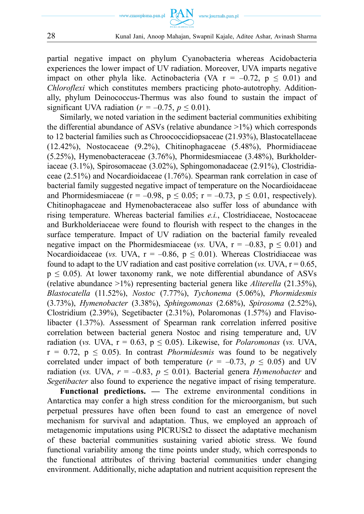



partial negative impact on phylum Cyanobacteria whereas Acidobacteria experiences the lower impact of UV radiation. Moreover, UVA imparts negative impact on other phyla like. Actinobacteria (VA  $r = -0.72$ ,  $p \le 0.01$ ) and *Chloroflexi* which constitutes members practicing photo-autotrophy. Additionally, phylum Deinococcus-Thermus was also found to sustain the impact of significant UVA radiation ( $r = -0.75$ ,  $p \le 0.01$ ).

Similarly, we noted variation in the sediment bacterial communities exhibiting the differential abundance of ASVs (relative abundance >1%) which corresponds to 12 bacterial families such as Chroococcidiopsaceae (21.93%), Blastocatellaceae (12.42%), Nostocaceae (9.2%), Chitinophagaceae (5.48%), Phormidiaceae (5.25%), Hymenobacteraceae (3.76%), Phormidesmiaceae (3.48%), Burkholderiaceae (3.1%), Spirosomaceae (3.02%), Sphingomonadaceae (2.91%), Clostridiaceae (2.51%) and Nocardioidaceae (1.76%). Spearman rank correlation in case of bacterial family suggested negative impact of temperature on the Nocardioidaceae and Phormidesmiaceae ( $r = -0.98$ ,  $p \le 0.05$ ;  $r = -0.73$ ,  $p \le 0.01$ , respectively). Chitinophagaceae and Hymenobacteraceae also suffer loss of abundance with rising temperature. Whereas bacterial families *e.i.*, Clostridiaceae, Nostocaceae and Burkholderiaceae were found to flourish with respect to the changes in the surface temperature. Impact of UV radiation on the bacterial family revealed negative impact on the Phormidesmiaceae (*vs.* UVA,  $r = -0.83$ ,  $p \le 0.01$ ) and Nocardioidaceae (*vs. UVA*,  $r = -0.86$ ,  $p \le 0.01$ ). Whereas Clostridiaceae was found to adapt to the UV radiation and cast positive correlation ( $vs.$  UVA,  $r = 0.65$ ,  $p \leq 0.05$ ). At lower taxonomy rank, we note differential abundance of ASVs (relative abundance >1%) representing bacterial genera like *Aliterella* (21.35%), *Blastocatella* (11.52%), *Nostoc* (7.77%), *Tychonema* (5.06%), *Phormidesmis*  (3.73%), *Hymenobacter* (3.38%), *Sphingomonas* (2.68%), *Spirosoma* (2.52%), Clostridium (2.39%), Segetibacter (2.31%), Polaromonas (1.57%) and Flavisolibacter (1.37%). Assessment of Spearman rank correlation inferred positive correlation between bacterial genera Nostoc and rising temperature and, UV radiation (*vs. UVA, r* = 0.63,  $p \le 0.05$ ). Likewise, for *Polaromonas* (*vs. UVA,*  $r = 0.72$ ,  $p \le 0.05$ ). In contrast *Phormidesmis* was found to be negatively correlated under impact of both temperature ( $r = -0.73$ ,  $p \le 0.05$ ) and UV radiation (*vs. UVA,*  $r = -0.83$ *,*  $p \le 0.01$ *). Bacterial genera <i>Hymenobacter* and *Segetibacter* also found to experience the negative impact of rising temperature.

**Functional predictions. —** The extreme environmental conditions in Antarctica may confer a high stress condition for the microorganism, but such perpetual pressures have often been found to cast an emergence of novel mechanism for survival and adaptation. Thus, we employed an approach of metagenomic imputations using PICRUSt2 to dissect the adaptative mechanism of these bacterial communities sustaining varied abiotic stress. We found functional variability among the time points under study, which corresponds to the functional attributes of thriving bacterial communities under changing environment. Additionally, niche adaptation and nutrient acquisition represent the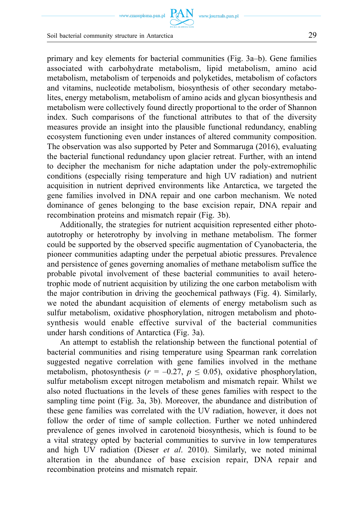primary and key elements for bacterial communities (Fig. 3a–b). Gene families associated with carbohydrate metabolism, lipid metabolism, amino acid metabolism, metabolism of terpenoids and polyketides, metabolism of cofactors and vitamins, nucleotide metabolism, biosynthesis of other secondary metabolites, energy metabolism, metabolism of amino acids and glycan biosynthesis and metabolism were collectively found directly proportional to the order of Shannon index. Such comparisons of the functional attributes to that of the diversity measures provide an insight into the plausible functional redundancy, enabling ecosystem functioning even under instances of altered community composition. The observation was also supported by Peter and Sommaruga (2016), evaluating the bacterial functional redundancy upon glacier retreat. Further, with an intend to decipher the mechanism for niche adaptation under the poly-extremophilic conditions (especially rising temperature and high UV radiation) and nutrient acquisition in nutrient deprived environments like Antarctica, we targeted the gene families involved in DNA repair and one carbon mechanism. We noted dominance of genes belonging to the base excision repair, DNA repair and recombination proteins and mismatch repair (Fig. 3b).

Additionally, the strategies for nutrient acquisition represented either photoautotrophy or heterotrophy by involving in methane metabolism. The former could be supported by the observed specific augmentation of Cyanobacteria, the pioneer communities adapting under the perpetual abiotic pressures. Prevalence and persistence of genes governing anomalies of methane metabolism suffice the probable pivotal involvement of these bacterial communities to avail heterotrophic mode of nutrient acquisition by utilizing the one carbon metabolism with the major contribution in driving the geochemical pathways (Fig. 4). Similarly, we noted the abundant acquisition of elements of energy metabolism such as sulfur metabolism, oxidative phosphorylation, nitrogen metabolism and photosynthesis would enable effective survival of the bacterial communities under harsh conditions of Antarctica (Fig. 3a).

An attempt to establish the relationship between the functional potential of bacterial communities and rising temperature using Spearman rank correlation suggested negative correlation with gene families involved in the methane metabolism, photosynthesis ( $r = -0.27$ ,  $p \le 0.05$ ), oxidative phosphorylation, sulfur metabolism except nitrogen metabolism and mismatch repair. Whilst we also noted fluctuations in the levels of these genes families with respect to the sampling time point (Fig. 3a, 3b). Moreover, the abundance and distribution of these gene families was correlated with the UV radiation, however, it does not follow the order of time of sample collection. Further we noted unhindered prevalence of genes involved in carotenoid biosynthesis, which is found to be a vital strategy opted by bacterial communities to survive in low temperatures and high UV radiation (Dieser *et al*. 2010). Similarly, we noted minimal alteration in the abundance of base excision repair, DNA repair and recombination proteins and mismatch repair.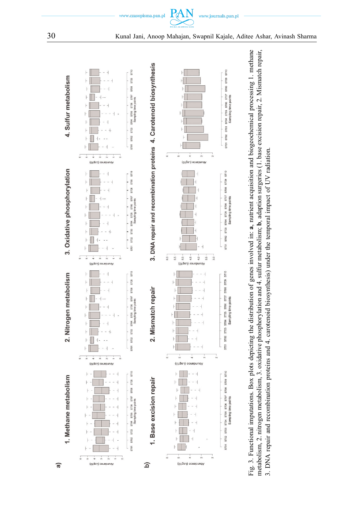



www.czasopisma.pan.pl

PAN www.journals.pan.pl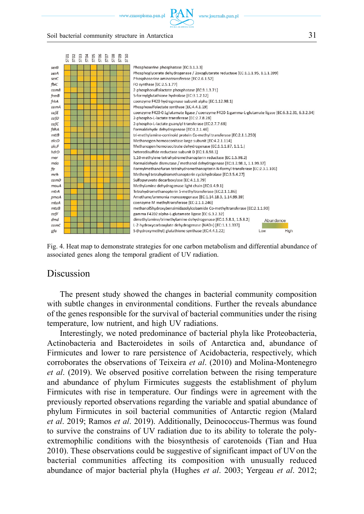www.czasopisma.pan.pl



#### Soil bacterial community structure in Antarctica 31



Fig. 4. Heat map to demonstrate strategies for one carbon metabolism and differential abundance of associated genes along the temporal gradient of UV radiation.

### Discussion

The present study showed the changes in bacterial community composition with subtle changes in environmental conditions. Further the reveals abundance of the genes responsible for the survival of bacterial communities under the rising temperature, low nutrient, and high UV radiations.

Interestingly, we noted predominance of bacterial phyla like Proteobacteria, Actinobacteria and Bacteroidetes in soils of Antarctica and, abundance of Firmicutes and lower to rare persistence of Acidobacteria, respectively, which corroborates the observations of Teixeira *et al*. (2010) and Molina-Montenegro *et al*. (2019). We observed positive correlation between the rising temperature and abundance of phylum Firmicutes suggests the establishment of phylum Firmicutes with rise in temperature. Our findings were in agreement with the previously reported observations regarding the variable and spatial abundance of phylum Firmicutes in soil bacterial communities of Antarctic region (Malard *et al*. 2019; Ramos *et al*. 2019). Additionally, Deinococcus-Thermus was found to survive the constrains of UV radiation due to its ability to tolerate the polyextremophilic conditions with the biosynthesis of carotenoids (Tian and Hua 2010). These observations could be suggestive of significant impact of UV on the bacterial communities affecting its composition with unusually reduced abundance of major bacterial phyla (Hughes *et al*. 2003; Yergeau *et al*. 2012;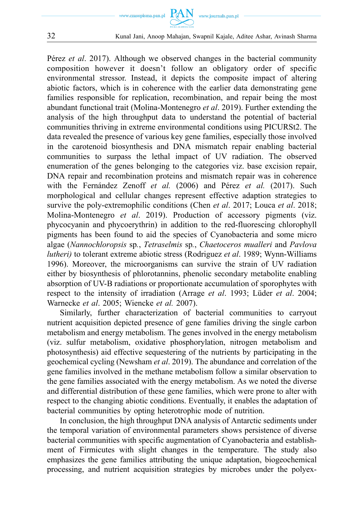

32 Kunal Jani, Anoop Mahajan, Swapnil Kajale, Aditee Ashar, Avinash Sharma

Pérez *et al*. 2017). Although we observed changes in the bacterial community composition however it doesn't follow an obligatory order of specific environmental stressor. Instead, it depicts the composite impact of altering abiotic factors, which is in coherence with the earlier data demonstrating gene families responsible for replication, recombination, and repair being the most abundant functional trait (Molina-Montenegro *et al*. 2019). Further extending the analysis of the high throughput data to understand the potential of bacterial communities thriving in extreme environmental conditions using PICURSt2. The data revealed the presence of various key gene families, especially those involved in the carotenoid biosynthesis and DNA mismatch repair enabling bacterial communities to surpass the lethal impact of UV radiation. The observed enumeration of the genes belonging to the categories viz. base excision repair, DNA repair and recombination proteins and mismatch repair was in coherence with the Fernández Zenoff *et al.* (2006) and Pérez *et al.* (2017). Such morphological and cellular changes represent effective adaption strategies to survive the poly-extremophilic conditions (Chen *et al*. 2017; Louca *et al*. 2018; Molina-Montenegro *et al*. 2019). Production of accessory pigments (viz. phycocyanin and phycoerythrin) in addition to the red-fluorescing chlorophyll pigments has been found to aid the species of Cyanobacteria and some micro algae (*Nannochloropsis* sp*.*, *Tetraselmis* sp*.*, *Chaetoceros mualleri* and *Pavlova lutheri)* to tolerant extreme abiotic stress (Rodriguez *et al*. 1989; Wynn-Williams 1996). Moreover, the microorganisms can survive the strain of UV radiation either by biosynthesis of phlorotannins, phenolic secondary metabolite enabling absorption of UV-B radiations or proportionate accumulation of sporophytes with respect to the intensity of irradiation (Arrage *et al*. 1993; Lüder *et al*. 2004; Warnecke *et al*. 2005; Wiencke *et al.* 2007).

Similarly, further characterization of bacterial communities to carryout nutrient acquisition depicted presence of gene families driving the single carbon metabolism and energy metabolism. The genes involved in the energy metabolism (viz. sulfur metabolism, oxidative phosphorylation, nitrogen metabolism and photosynthesis) aid effective sequestering of the nutrients by participating in the geochemical cycling (Newsham *et al*. 2019). The abundance and correlation of the gene families involved in the methane metabolism follow a similar observation to the gene families associated with the energy metabolism. As we noted the diverse and differential distribution of these gene families, which were prone to alter with respect to the changing abiotic conditions. Eventually, it enables the adaptation of bacterial communities by opting heterotrophic mode of nutrition.

In conclusion, the high throughput DNA analysis of Antarctic sediments under the temporal variation of environmental parameters shows persistence of diverse bacterial communities with specific augmentation of Cyanobacteria and establishment of Firmicutes with slight changes in the temperature. The study also emphasizes the gene families attributing the unique adaptation, biogeochemical processing, and nutrient acquisition strategies by microbes under the polyex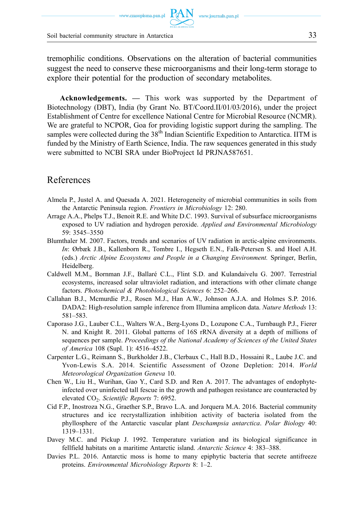www.czasopisma.pan.pl

Soil bacterial community structure in Antarctica 33

tremophilic conditions. Observations on the alteration of bacterial communities suggest the need to conserve these microorganisms and their long-term storage to explore their potential for the production of secondary metabolites.

**Acknowledgements. —** This work was supported by the Department of Biotechnology (DBT), India (by Grant No. BT/Coord.II/01/03/2016), under the project Establishment of Centre for excellence National Centre for Microbial Resource (NCMR). We are grateful to NCPOR, Goa for providing logistic support during the sampling. The samples were collected during the  $38<sup>th</sup>$  Indian Scientific Expedition to Antarctica. IITM is funded by the Ministry of Earth Science, India. The raw sequences generated in this study were submitted to NCBI SRA under BioProject Id PRJNA587651.

## References

- Almela P., Justel A. and Quesada A. 2021. Heterogeneity of microbial communities in soils from the Antarctic Peninsula region. *Frontiers in Microbiology* 12: 280.
- Arrage A.A., Phelps T.J., Benoit R.E. and White D.C. 1993. Survival of subsurface microorganisms exposed to UV radiation and hydrogen peroxide. *Applied and Environmental Microbiology*  59: 3545–3550
- Blumthaler M. 2007. Factors, trends and scenarios of UV radiation in arctic-alpine environments. *In*: Ørbæk J.B., Kallenborn R., Tombre I., Hegseth E.N., Falk-Petersen S. and Hoel A.H. (eds.) *Arctic Alpine Ecosystems and People in a Changing Environment.* Springer, Berlin, Heidelberg.
- Caldwell M.M., Bornman J.F., Ballaré C.L., Flint S.D. and Kulandaivelu G. 2007. Terrestrial ecosystems, increased solar ultraviolet radiation, and interactions with other climate change factors. *Photochemical & Photobiological Sciences* 6: 252–266.
- Callahan B.J., Mcmurdie P.J., Rosen M.J., Han A.W., Johnson A.J.A. and Holmes S.P. 2016. DADA2: High-resolution sample inference from Illumina amplicon data. *Nature Methods* 13: 581–583.
- Caporaso J.G., Lauber C.L., Walters W.A., Berg-Lyons D., Lozupone C.A., Turnbaugh P.J., Fierer N. and Knight R. 2011. Global patterns of 16S rRNA diversity at a depth of millions of sequences per sample. *Proceedings of the National Academy of Sciences of the United States of America* 108 (Supl. 1): 4516–4522.
- Carpenter L.G., Reimann S., Burkholder J.B., Clerbaux C., Hall B.D., Hossaini R., Laube J.C. and Yvon-Lewis S.A. 2014. Scientific Assessment of Ozone Depletion: 2014. *World Meteorological Organization Geneva* 10.
- Chen W., Liu H., Wurihan, Gao Y., Card S.D. and Ren A. 2017. The advantages of endophyteinfected over uninfected tall fescue in the growth and pathogen resistance are counteracted by elevated CO2. *Scientific Reports* 7: 6952.
- Cid F.P., Inostroza N.G., Graether S.P., Bravo L.A. and Jorquera M.A. 2016. Bacterial community structures and ice recrystallization inhibition activity of bacteria isolated from the phyllosphere of the Antarctic vascular plant *Deschampsia antarctica*. *Polar Biology* 40: 1319–1331.
- Davey M.C. and Pickup J. 1992. Temperature variation and its biological significance in fellfield habitats on a maritime Antarctic island. *Antarctic Science* 4: 383–388.
- Davies P.L. 2016. Antarctic moss is home to many epiphytic bacteria that secrete antifreeze proteins. *Environmental Microbiology Reports* 8: 1–2.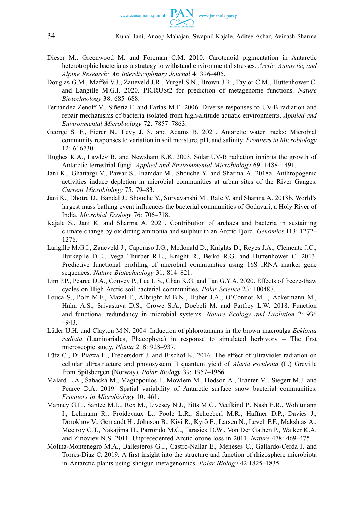

- Dieser M., Greenwood M. and Foreman C.M. 2010. Carotenoid pigmentation in Antarctic heterotrophic bacteria as a strategy to withstand environmental stresses. *Arctic, Antarctic, and Alpine Research: An Interdisciplinary Journal* 4: 396–405.
- Douglas G.M., Maffei V.J., Zaneveld J.R., Yurgel S.N., Brown J.R., Taylor C.M., Huttenhower C. and Langille M.G.I. 2020. PICRUSt2 for prediction of metagenome functions. *Nature Biotechnology* 38: 685–688.
- Fernández Zenoff V., Siñeriz F. and Farías M.E. 2006. Diverse responses to UV-B radiation and repair mechanisms of bacteria isolated from high-altitude aquatic environments. *Applied and Environmental Microbiology* 72: 7857–7863.
- George S. F., Fierer N., Levy J. S. and Adams B. 2021. Antarctic water tracks: Microbial community responses to variation in soil moisture, pH, and salinity. *Frontiers in Microbiology*  12: 616730
- Hughes K.A., Lawley B. and Newsham K.K. 2003. Solar UV-B radiation inhibits the growth of Antarctic terrestrial fungi. *Applied and Environmental Microbiology* 69: 1488–1491.
- Jani K., Ghattargi V., Pawar S., Inamdar M., Shouche Y. and Sharma A. 2018a. Anthropogenic activities induce depletion in microbial communities at urban sites of the River Ganges. *Current Microbiology* 75: 79–83.
- Jani K., Dhotre D., Bandal J., Shouche Y., Suryavanshi M., Rale V. and Sharma A. 2018b. World's largest mass bathing event influences the bacterial communities of Godavari, a Holy River of India. *Microbial Ecology* 76: 706–718.
- Kajale S., Jani K. and Sharma A. 2021. Contribution of archaea and bacteria in sustaining climate change by oxidizing ammonia and sulphur in an Arctic Fjord. *Genomics* 113: 1272– 1276.
- Langille M.G.I., Zaneveld J., Caporaso J.G., Mcdonald D., Knights D., Reyes J.A., Clemente J.C., Burkepile D.E., Vega Thurber R.L., Knight R., Beiko R.G. and Huttenhower C. 2013. Predictive functional profiling of microbial communities using 16S rRNA marker gene sequences. *Nature Biotechnology* 31: 814–821.
- Lim P.P., Pearce D.A., Convey P., Lee L.S., Chan K.G. and Tan G.Y.A. 2020. Effects of freeze-thaw cycles on High Arctic soil bacterial communities. *Polar Science* 23: 100487.
- Louca S., Polz M.F., Mazel F., Albright M.B.N., Huber J.A., O'Connor M.I., Ackermann M., Hahn A.S., Srivastava D.S., Crowe S.A., Doebeli M. and Parfrey L.W. 2018. Function and functional redundancy in microbial systems. *Nature Ecology and Evolution* 2: 936 –943.
- Lüder U.H. and Clayton M.N. 2004. Induction of phlorotannins in the brown macroalga *Ecklonia radiata* (Laminariales, Phaeophyta) in response to simulated herbivory – The first microscopic study. *Planta* 218: 928–937.
- Lütz C., Di Piazza L., Fredersdorf J. and Bischof K. 2016. The effect of ultraviolet radiation on cellular ultrastructure and photosystem II quantum yield of *Alaria esculenta* (L.) Greville from Spitsbergen (Norway). *Polar Biology* 39: 1957–1966.
- Malard L.A., Šabacká M., Magiopoulos I., Mowlem M., Hodson A., Tranter M., Siegert M.J. and Pearce D.A. 2019. Spatial variability of Antarctic surface snow bacterial communities. *Frontiers in Microbiology* 10: 461.
- Manney G.L., Santee M.L., Rex M., Livesey N.J., Pitts M.C., Veefkind P., Nash E.R., Wohltmann I., Lehmann R., Froidevaux L., Poole L.R., Schoeberl M.R., Haffner D.P., Davies J., Dorokhov V., Gernandt H., Johnson B., Kivi R., Kyrö E., Larsen N., Levelt P.F., Makshtas A., Mcelroy C.T., Nakajima H., Parrondo M.C., Tarasick D.W., Von Der Gathen P., Walker K.A. and Zinoviev N.S. 2011. Unprecedented Arctic ozone loss in 2011. *Nature* 478: 469–475.
- Molina-Montenegro M.A., Ballesteros G.I., Castro-Nallar E., Meneses C., Gallardo-Cerda J. and Torres-Díaz C. 2019. A first insight into the structure and function of rhizosphere microbiota in Antarctic plants using shotgun metagenomics. *Polar Biology* 42:1825–1835.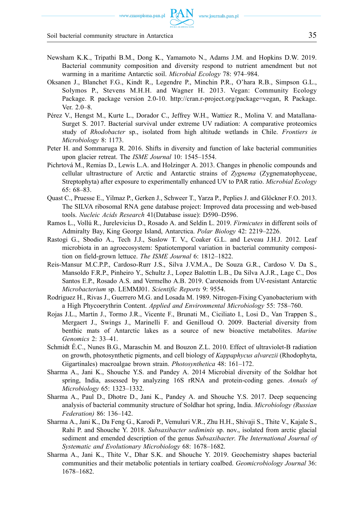www.czasopisma.pan.pl  $PAN$  www.journals.pan.pl

- Newsham K.K., Tripathi B.M., Dong K., Yamamoto N., Adams J.M. and Hopkins D.W. 2019. Bacterial community composition and diversity respond to nutrient amendment but not warming in a maritime Antarctic soil. *Microbial Ecology* 78: 974–984.
- Oksanen J., Blanchet F.G., Kindt R., Legendre P., Minchin P.R., O'hara R.B., Simpson G.L., Solymos P., Stevens M.H.H. and Wagner H. 2013. Vegan: Community Ecology Package. R package version 2.0-10. [http://cran.r-project.org/package=vegan,](http://cran.r-project.org/package=vegan) R Package. Ver. 2.0–8.
- Pérez V., Hengst M., Kurte L., Dorador C., Jeffrey W.H., Wattiez R., Molina V. and Matallana-Surget S. 2017. Bacterial survival under extreme UV radiation: A comparative proteomics study of *Rhodobacter* sp., isolated from high altitude wetlands in Chile. *Frontiers in Microbiology* 8: 1173.
- Peter H. and Sommaruga R. 2016. Shifts in diversity and function of lake bacterial communities upon glacier retreat. The *ISME Journal* 10: 1545–1554.
- Pichrtová M., Remias D., Lewis L.A. and Holzinger A. 2013. Changes in phenolic compounds and cellular ultrastructure of Arctic and Antarctic strains of *Zygnema* (Zygnematophyceae, Streptophyta) after exposure to experimentally enhanced UV to PAR ratio. *Microbial Ecology*  65: 68–83.
- Quast C., Pruesse E., Yilmaz P., Gerken J., Schweer T., Yarza P., Peplies J. and Glöckner F.O. 2013. The SILVA ribosomal RNA gene database project: Improved data processing and web-based tools. *Nucleic Acids Research* 41(Database issue): D590–D596.
- Ramos L., Vollú R., Jurelevicius D., Rosado A. and Seldin L. 2019. *Firmicutes* in different soils of Admiralty Bay, King George Island, Antarctica. *Polar Biology* 42: 2219–2226.
- Rastogi G., Sbodio A., Tech J.J., Suslow T. V., Coaker G.L. and Leveau J.H.J. 2012. Leaf microbiota in an agroecosystem: Spatiotemporal variation in bacterial community composition on field-grown lettuce. *The ISME Journal* 6: 1812–1822.
- Reis-Mansur M.C.P.P., Cardoso-Rurr J.S., Silva J.V.M.A., De Souza G.R., Cardoso V. Da S., Mansoldo F.R.P., Pinheiro Y., Schultz J., Lopez Balottin L.B., Da Silva A.J.R., Lage C., Dos Santos E.P., Rosado A.S. and Vermelho A.B. 2019. Carotenoids from UV-resistant Antarctic *Microbacterium* sp. LEMMJ01. *Scientific Reports* 9: 9554.
- Rodriguez H., Rivas J., Guerrero M.G. and Losada M. 1989. Nitrogen-Fixing Cyanobacterium with a High Phycoerythrin Content. *Applied and Environmental Microbiology* 55: 758–760.
- Rojas J.L., Martín J., Tormo J.R., Vicente F., Brunati M., Ciciliato I., Losi D., Van Trappen S., Mergaert J., Swings J., Marinelli F. and Genilloud O. 2009. Bacterial diversity from benthic mats of Antarctic lakes as a source of new bioactive metabolites. *Marine Genomics* 2: 33–41.
- Schmidt É.C., Nunes B.G., Maraschin M. and Bouzon Z.L. 2010. Effect of ultraviolet-B radiation on growth, photosynthetic pigments, and cell biology of *Kappaphycus alvarezii* (Rhodophyta, Gigartinales) macroalgae brown strain. *Photosynthetica* 48: 161–172.
- Sharma A., Jani K., Shouche Y.S. and Pandey A. 2014 Microbial diversity of the Soldhar hot spring, India, assessed by analyzing 16S rRNA and protein-coding genes. *Annals of Microbiology* 65: 1323–1332.
- Sharma A., Paul D., Dhotre D., Jani K., Pandey A. and Shouche Y.S. 2017. Deep sequencing analysis of bacterial community structure of Soldhar hot spring, India. *Microbiology (Russian Federation)* 86: 136–142.
- Sharma A., Jani K., Da Feng G., Karodi P., Vemuluri V.R., Zhu H.H., Shivaji S., Thite V., Kajale S., Rahi P. and Shouche Y. 2018. *Subsaxibacter sediminis* sp. nov., isolated from arctic glacial sediment and emended description of the genus *Subsaxibacter*. *The International Journal of Systematic and Evolutionary Microbiology* 68: 1678–1682.
- Sharma A., Jani K., Thite V., Dhar S.K. and Shouche Y. 2019. Geochemistry shapes bacterial communities and their metabolic potentials in tertiary coalbed. *Geomicrobiology Journal* 36: 1678–1682.